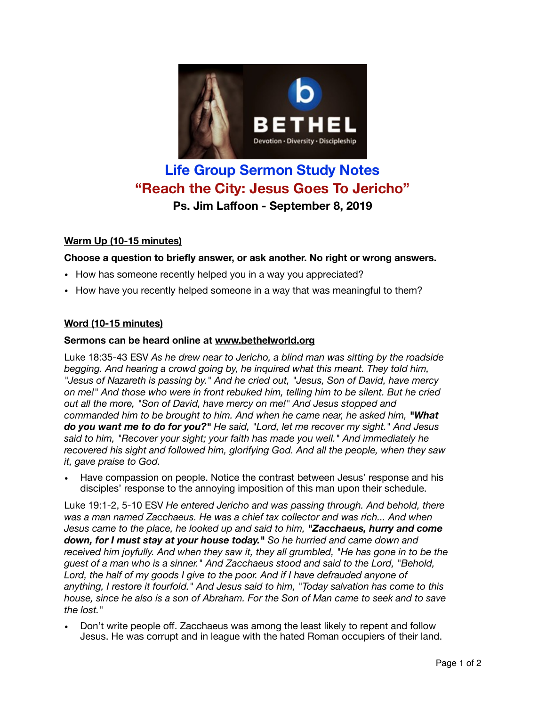

# **Life Group Sermon Study Notes "Reach the City: Jesus Goes To Jericho" Ps. Jim Laffoon - September 8, 2019**

# **Warm Up (10-15 minutes)**

# **Choose a question to briefly answer, or ask another. No right or wrong answers.**

- How has someone recently helped you in a way you appreciated?
- How have you recently helped someone in a way that was meaningful to them?

# **Word (10-15 minutes)**

## **Sermons can be heard online at [www.bethelworld.org](http://www.bethelworld.org)**

Luke 18:35-43 ESV *As he drew near to Jericho, a blind man was sitting by the roadside begging. And hearing a crowd going by, he inquired what this meant. They told him, "Jesus of Nazareth is passing by." And he cried out, "Jesus, Son of David, have mercy on me!" And those who were in front rebuked him, telling him to be silent. But he cried out all the more, "Son of David, have mercy on me!" And Jesus stopped and commanded him to be brought to him. And when he came near, he asked him, "What do you want me to do for you?" He said, "Lord, let me recover my sight." And Jesus said to him, "Recover your sight; your faith has made you well." And immediately he recovered his sight and followed him, glorifying God. And all the people, when they saw it, gave praise to God.*

• Have compassion on people. Notice the contrast between Jesus' response and his disciples' response to the annoying imposition of this man upon their schedule.

Luke 19:1-2, 5-10 ESV *He entered Jericho and was passing through. And behold, there*  was a man named Zacchaeus. He was a chief tax collector and was rich... And when *Jesus came to the place, he looked up and said to him, "Zacchaeus, hurry and come down, for I must stay at your house today." So he hurried and came down and received him joyfully. And when they saw it, they all grumbled, "He has gone in to be the guest of a man who is a sinner." And Zacchaeus stood and said to the Lord, "Behold,*  Lord, the half of my goods I give to the poor. And if I have defrauded anyone of *anything, I restore it fourfold." And Jesus said to him, "Today salvation has come to this house, since he also is a son of Abraham. For the Son of Man came to seek and to save the lost."* 

• Don't write people off. Zacchaeus was among the least likely to repent and follow Jesus. He was corrupt and in league with the hated Roman occupiers of their land.